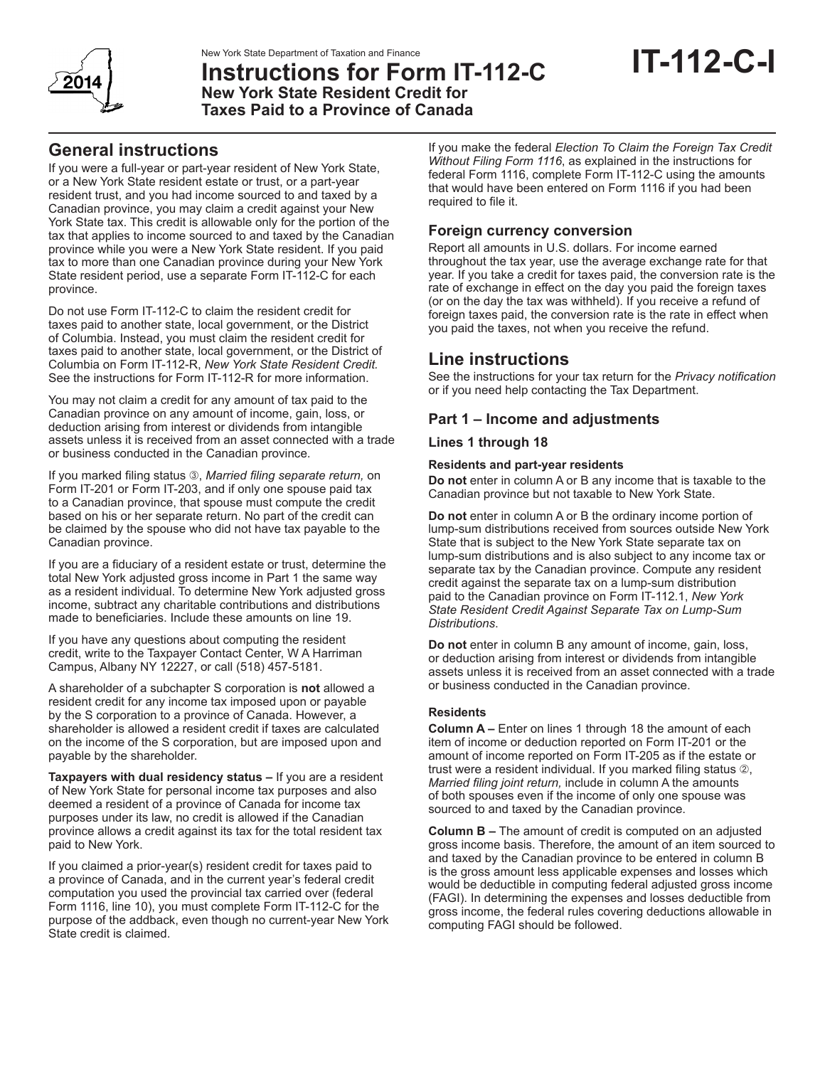

# New York State Department of Taxation and Finance<br>Instructions for Form IT-112-C IT-**112-C**-I **New York State Resident Credit for Taxes Paid to a Province of Canada**

# **General instructions**

If you were a full-year or part-year resident of New York State, or a New York State resident estate or trust, or a part-year resident trust, and you had income sourced to and taxed by a Canadian province, you may claim a credit against your New York State tax. This credit is allowable only for the portion of the tax that applies to income sourced to and taxed by the Canadian province while you were a New York State resident. If you paid tax to more than one Canadian province during your New York State resident period, use a separate Form IT-112-C for each province.

Do not use Form IT-112-C to claim the resident credit for taxes paid to another state, local government, or the District of Columbia. Instead, you must claim the resident credit for taxes paid to another state, local government, or the District of Columbia on Form IT-112-R, *New York State Resident Credit.*  See the instructions for Form IT-112-R for more information.

You may not claim a credit for any amount of tax paid to the Canadian province on any amount of income, gain, loss, or deduction arising from interest or dividends from intangible assets unless it is received from an asset connected with a trade or business conducted in the Canadian province.

If you marked filing status **3**, *Married filing separate return*, on Form IT-201 or Form IT-203, and if only one spouse paid tax to a Canadian province, that spouse must compute the credit based on his or her separate return. No part of the credit can be claimed by the spouse who did not have tax payable to the Canadian province.

If you are a fiduciary of a resident estate or trust, determine the total New York adjusted gross income in Part 1 the same way as a resident individual. To determine New York adjusted gross income, subtract any charitable contributions and distributions made to beneficiaries. Include these amounts on line 19.

If you have any questions about computing the resident credit, write to the Taxpayer Contact Center, W A Harriman Campus, Albany NY 12227, or call (518) 457-5181.

A shareholder of a subchapter S corporation is **not** allowed a resident credit for any income tax imposed upon or payable by the S corporation to a province of Canada. However, a shareholder is allowed a resident credit if taxes are calculated on the income of the S corporation, but are imposed upon and payable by the shareholder.

**Taxpayers with dual residency status –** If you are a resident of New York State for personal income tax purposes and also deemed a resident of a province of Canada for income tax purposes under its law, no credit is allowed if the Canadian province allows a credit against its tax for the total resident tax paid to New York.

If you claimed a prior-year(s) resident credit for taxes paid to a province of Canada, and in the current year's federal credit computation you used the provincial tax carried over (federal Form 1116, line 10), you must complete Form IT-112-C for the purpose of the addback, even though no current-year New York State credit is claimed.

If you make the federal *Election To Claim the Foreign Tax Credit Without Filing Form 1116*, as explained in the instructions for federal Form 1116, complete Form IT-112-C using the amounts that would have been entered on Form 1116 if you had been required to file it.

# **Foreign currency conversion**

Report all amounts in U.S. dollars. For income earned throughout the tax year, use the average exchange rate for that year. If you take a credit for taxes paid, the conversion rate is the rate of exchange in effect on the day you paid the foreign taxes (or on the day the tax was withheld). If you receive a refund of foreign taxes paid, the conversion rate is the rate in effect when you paid the taxes, not when you receive the refund.

# **Line instructions**

See the instructions for your tax return for the *Privacy notification* or if you need help contacting the Tax Department.

# **Part 1 – Income and adjustments**

# **Lines 1 through 18**

### **Residents and part-year residents**

**Do not** enter in column A or B any income that is taxable to the Canadian province but not taxable to New York State.

**Do not** enter in column A or B the ordinary income portion of lump-sum distributions received from sources outside New York State that is subject to the New York State separate tax on lump-sum distributions and is also subject to any income tax or separate tax by the Canadian province. Compute any resident credit against the separate tax on a lump-sum distribution paid to the Canadian province on Form IT-112.1, *New York State Resident Credit Against Separate Tax on Lump-Sum Distributions*.

**Do not** enter in column B any amount of income, gain, loss, or deduction arising from interest or dividends from intangible assets unless it is received from an asset connected with a trade or business conducted in the Canadian province.

## **Residents**

**Column A –** Enter on lines 1 through 18 the amount of each item of income or deduction reported on Form IT-201 or the amount of income reported on Form IT-205 as if the estate or trust were a resident individual. If you marked filing status  $\mathcal{D}$ , *Married filing joint return,* include in column A the amounts of both spouses even if the income of only one spouse was sourced to and taxed by the Canadian province.

**Column B –** The amount of credit is computed on an adjusted gross income basis. Therefore, the amount of an item sourced to and taxed by the Canadian province to be entered in column B is the gross amount less applicable expenses and losses which would be deductible in computing federal adjusted gross income (FAGI). In determining the expenses and losses deductible from gross income, the federal rules covering deductions allowable in computing FAGI should be followed.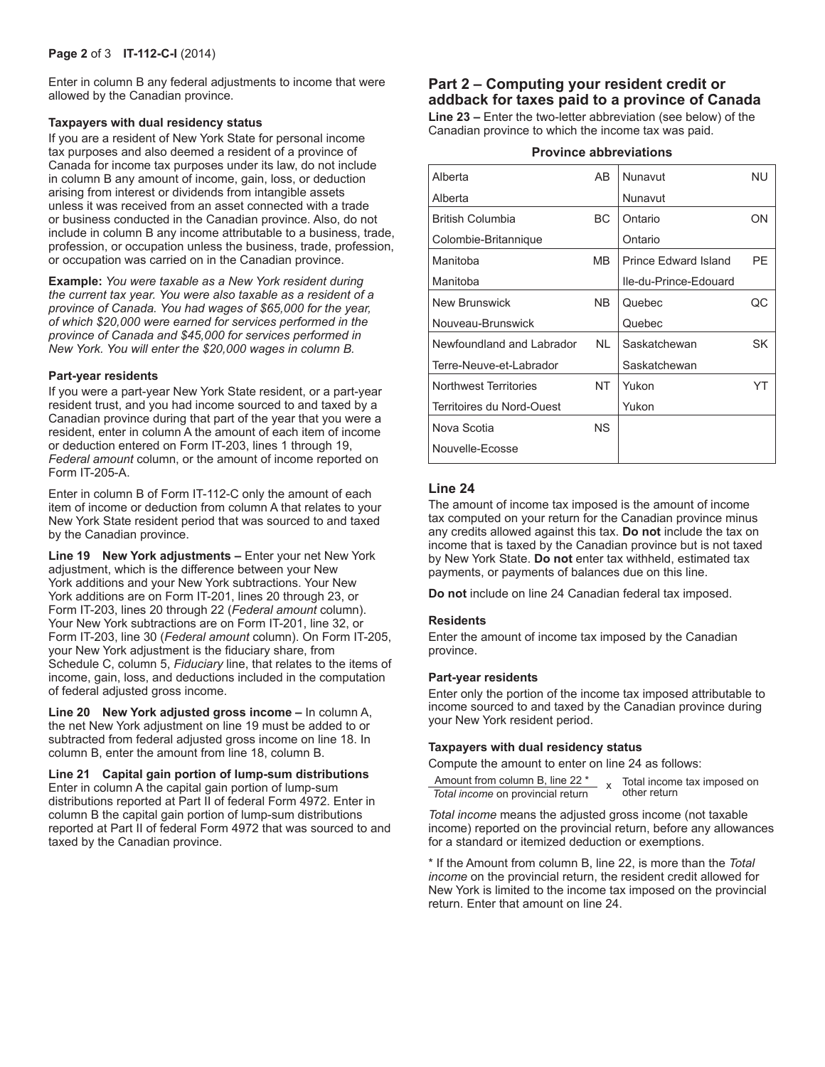#### **Page 2** of 3 **IT-112-C-I** (2014)

Enter in column B any federal adjustments to income that were allowed by the Canadian province.

#### **Taxpayers with dual residency status**

If you are a resident of New York State for personal income tax purposes and also deemed a resident of a province of Canada for income tax purposes under its law, do not include in column B any amount of income, gain, loss, or deduction arising from interest or dividends from intangible assets unless it was received from an asset connected with a trade or business conducted in the Canadian province. Also, do not include in column B any income attributable to a business, trade, profession, or occupation unless the business, trade, profession, or occupation was carried on in the Canadian province.

**Example:** *You were taxable as a New York resident during the current tax year. You were also taxable as a resident of a province of Canada. You had wages of \$65,000 for the year, of which \$20,000 were earned for services performed in the province of Canada and \$45,000 for services performed in New York. You will enter the \$20,000 wages in column B.*

#### **Part-year residents**

If you were a part-year New York State resident, or a part-year resident trust, and you had income sourced to and taxed by a Canadian province during that part of the year that you were a resident, enter in column A the amount of each item of income or deduction entered on Form IT-203, lines 1 through 19, *Federal amount* column, or the amount of income reported on Form IT-205-A.

Enter in column B of Form IT-112-C only the amount of each item of income or deduction from column A that relates to your New York State resident period that was sourced to and taxed by the Canadian province.

**Line 19 New York adjustments –** Enter your net New York adjustment, which is the difference between your New York additions and your New York subtractions. Your New York additions are on Form IT-201, lines 20 through 23, or Form IT-203, lines 20 through 22 (*Federal amount* column). Your New York subtractions are on Form IT-201, line 32, or Form IT-203, line 30 (*Federal amount* column). On Form IT-205, your New York adjustment is the fiduciary share, from Schedule C, column 5, *Fiduciary* line, that relates to the items of income, gain, loss, and deductions included in the computation of federal adjusted gross income.

**Line 20 New York adjusted gross income –** In column A, the net New York adjustment on line 19 must be added to or subtracted from federal adjusted gross income on line 18. In column B, enter the amount from line 18, column B.

**Line 21 Capital gain portion of lump-sum distributions**  Enter in column A the capital gain portion of lump-sum distributions reported at Part II of federal Form 4972. Enter in column B the capital gain portion of lump-sum distributions reported at Part II of federal Form 4972 that was sourced to and taxed by the Canadian province.

# **Part 2 – Computing your resident credit or addback for taxes paid to a province of Canada**

**Line 23 –** Enter the two-letter abbreviation (see below) of the Canadian province to which the income tax was paid.

#### **Province abbreviations**

| Alberta                      | AB  | Nunavut               | <b>NU</b> |
|------------------------------|-----|-----------------------|-----------|
| Alberta                      |     | Nunavut               |           |
| <b>British Columbia</b>      | ВC  | Ontario               | ON        |
| Colombie-Britannique         |     | Ontario               |           |
| Manitoba                     | MВ  | Prince Fdward Island  | PF        |
| Manitoba                     |     | Ile-du-Prince-Edouard |           |
| <b>New Brunswick</b>         | NB. | Quebec                | QC        |
| Nouveau-Brunswick            |     | Quebec                |           |
| Newfoundland and Labrador    | NL. | Saskatchewan          | SK        |
| Terre-Neuve-et-Labrador      |     | Saskatchewan          |           |
| <b>Northwest Territories</b> | NT  | Yukon                 | YT        |
| Territoires du Nord-Ouest    |     | Yukon                 |           |
| Nova Scotia                  | NS. |                       |           |
| Nouvelle-Ecosse              |     |                       |           |
|                              |     |                       |           |

# **Line 24**

The amount of income tax imposed is the amount of income tax computed on your return for the Canadian province minus any credits allowed against this tax. **Do not** include the tax on income that is taxed by the Canadian province but is not taxed by New York State. **Do not** enter tax withheld, estimated tax payments, or payments of balances due on this line.

**Do not** include on line 24 Canadian federal tax imposed.

#### **Residents**

Enter the amount of income tax imposed by the Canadian province.

#### **Part-year residents**

Enter only the portion of the income tax imposed attributable to income sourced to and taxed by the Canadian province during your New York resident period.

#### **Taxpayers with dual residency status**

Compute the amount to enter on line 24 as follows:

| Amount from column B, line 22 *   |  | Total income tax imposed on |
|-----------------------------------|--|-----------------------------|
| Total income on provincial return |  | other return                |

*Total income* means the adjusted gross income (not taxable income) reported on the provincial return, before any allowances for a standard or itemized deduction or exemptions.

\* If the Amount from column B, line 22, is more than the *Total income* on the provincial return, the resident credit allowed for New York is limited to the income tax imposed on the provincial return. Enter that amount on line 24.